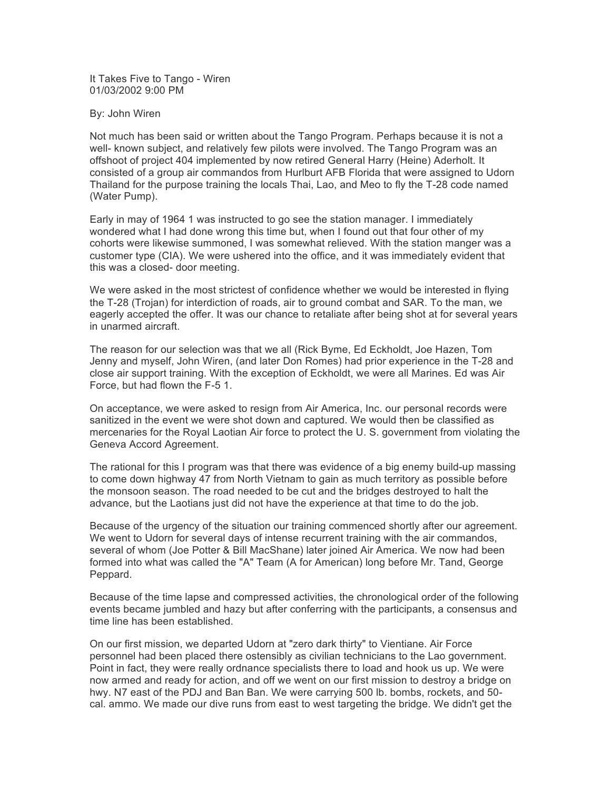It Takes Five to Tango - Wiren 01/03/2002 9:00 PM

By: John Wiren

Not much has been said or written about the Tango Program. Perhaps because it is not a well- known subject, and relatively few pilots were involved. The Tango Program was an offshoot of project 404 implemented by now retired General Harry (Heine) Aderholt. It consisted of a group air commandos from Hurlburt AFB Florida that were assigned to Udorn Thailand for the purpose training the locals Thai, Lao, and Meo to fly the T-28 code named (Water Pump).

Early in may of 1964 1 was instructed to go see the station manager. I immediately wondered what I had done wrong this time but, when I found out that four other of my cohorts were likewise summoned, I was somewhat relieved. With the station manger was a customer type (CIA). We were ushered into the office, and it was immediately evident that this was a closed- door meeting.

We were asked in the most strictest of confidence whether we would be interested in flying the T-28 (Trojan) for interdiction of roads, air to ground combat and SAR. To the man, we eagerly accepted the offer. It was our chance to retaliate after being shot at for several years in unarmed aircraft.

The reason for our selection was that we all (Rick Byme, Ed Eckholdt, Joe Hazen, Tom Jenny and myself, John Wiren, (and later Don Romes) had prior experience in the T-28 and close air support training. With the exception of Eckholdt, we were all Marines. Ed was Air Force, but had flown the F-5 1.

On acceptance, we were asked to resign from Air America, Inc. our personal records were sanitized in the event we were shot down and captured. We would then be classified as mercenaries for the Royal Laotian Air force to protect the U. S. government from violating the Geneva Accord Agreement.

The rational for this I program was that there was evidence of a big enemy build-up massing to come down highway 47 from North Vietnam to gain as much territory as possible before the monsoon season. The road needed to be cut and the bridges destroyed to halt the advance, but the Laotians just did not have the experience at that time to do the job.

Because of the urgency of the situation our training commenced shortly after our agreement. We went to Udorn for several days of intense recurrent training with the air commandos. several of whom (Joe Potter & Bill MacShane) later joined Air America. We now had been formed into what was called the "A" Team (A for American) long before Mr. Tand, George Peppard.

Because of the time lapse and compressed activities, the chronological order of the following events became jumbled and hazy but after conferring with the participants, a consensus and time line has been established.

On our first mission, we departed Udorn at "zero dark thirty" to Vientiane. Air Force personnel had been placed there ostensibly as civilian technicians to the Lao government. Point in fact, they were really ordnance specialists there to load and hook us up. We were now armed and ready for action, and off we went on our first mission to destroy a bridge on hwy. N7 east of the PDJ and Ban Ban. We were carrying 500 lb. bombs, rockets, and 50 cal. ammo. We made our dive runs from east to west targeting the bridge. We didn't get the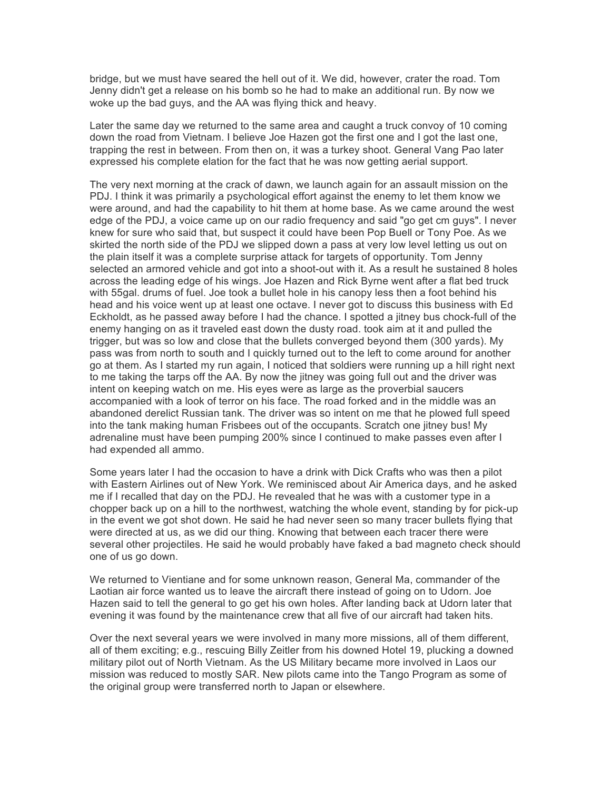bridge, but we must have seared the hell out of it. We did, however, crater the road. Tom Jenny didn't get a release on his bomb so he had to make an additional run. By now we woke up the bad guys, and the AA was flying thick and heavy.

Later the same day we returned to the same area and caught a truck convoy of 10 coming down the road from Vietnam. I believe Joe Hazen got the first one and I got the last one, trapping the rest in between. From then on, it was a turkey shoot. General Vang Pao later expressed his complete elation for the fact that he was now getting aerial support.

The very next morning at the crack of dawn, we launch again for an assault mission on the PDJ. I think it was primarily a psychological effort against the enemy to let them know we were around, and had the capability to hit them at home base. As we came around the west edge of the PDJ, a voice came up on our radio frequency and said "go get cm guys". I never knew for sure who said that, but suspect it could have been Pop Buell or Tony Poe. As we skirted the north side of the PDJ we slipped down a pass at very low level letting us out on the plain itself it was a complete surprise attack for targets of opportunity. Tom Jenny selected an armored vehicle and got into a shoot-out with it. As a result he sustained 8 holes across the leading edge of his wings. Joe Hazen and Rick Byrne went after a flat bed truck with 55gal. drums of fuel. Joe took a bullet hole in his canopy less then a foot behind his head and his voice went up at least one octave. I never got to discuss this business with Ed Eckholdt, as he passed away before I had the chance. I spotted a jitney bus chock-full of the enemy hanging on as it traveled east down the dusty road. took aim at it and pulled the trigger, but was so low and close that the bullets converged beyond them (300 yards). My pass was from north to south and I quickly turned out to the left to come around for another go at them. As I started my run again, I noticed that soldiers were running up a hill right next to me taking the tarps off the AA. By now the jitney was going full out and the driver was intent on keeping watch on me. His eyes were as large as the proverbial saucers accompanied with a look of terror on his face. The road forked and in the middle was an abandoned derelict Russian tank. The driver was so intent on me that he plowed full speed into the tank making human Frisbees out of the occupants. Scratch one jitney bus! My adrenaline must have been pumping 200% since I continued to make passes even after I had expended all ammo.

Some years later I had the occasion to have a drink with Dick Crafts who was then a pilot with Eastern Airlines out of New York. We reminisced about Air America days, and he asked me if I recalled that day on the PDJ. He revealed that he was with a customer type in a chopper back up on a hill to the northwest, watching the whole event, standing by for pick-up in the event we got shot down. He said he had never seen so many tracer bullets flying that were directed at us, as we did our thing. Knowing that between each tracer there were several other projectiles. He said he would probably have faked a bad magneto check should one of us go down.

We returned to Vientiane and for some unknown reason, General Ma, commander of the Laotian air force wanted us to leave the aircraft there instead of going on to Udorn. Joe Hazen said to tell the general to go get his own holes. After landing back at Udorn later that evening it was found by the maintenance crew that all five of our aircraft had taken hits.

Over the next several years we were involved in many more missions, all of them different, all of them exciting; e.g., rescuing Billy Zeitler from his downed Hotel 19, plucking a downed military pilot out of North Vietnam. As the US Military became more involved in Laos our mission was reduced to mostly SAR. New pilots came into the Tango Program as some of the original group were transferred north to Japan or elsewhere.